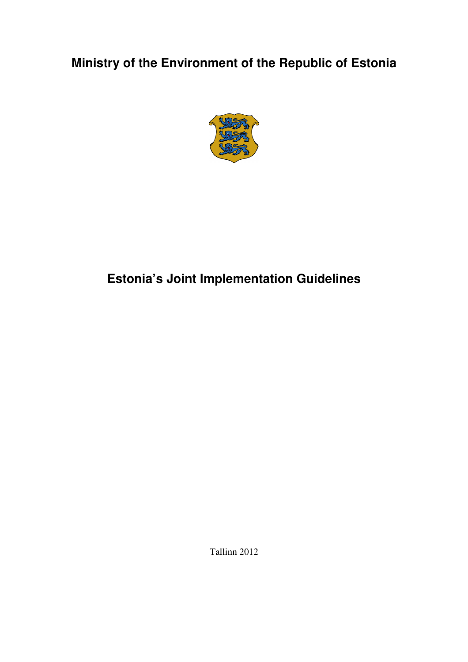**Ministry of the Environment of the Republic of Estonia** 



## **Estonia's Joint Implementation Guidelines**

Tallinn 2012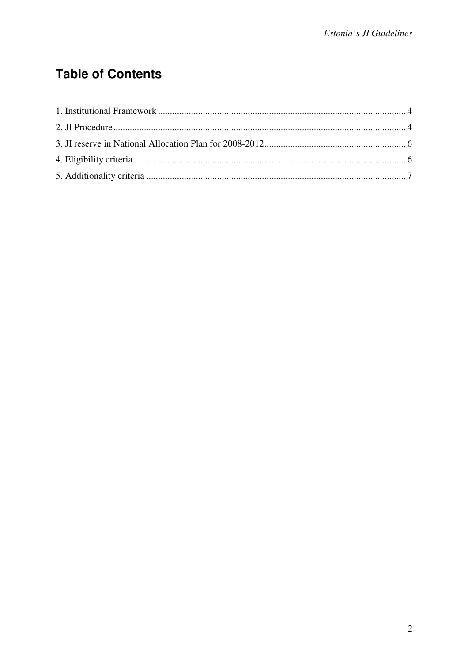## **Table of Contents**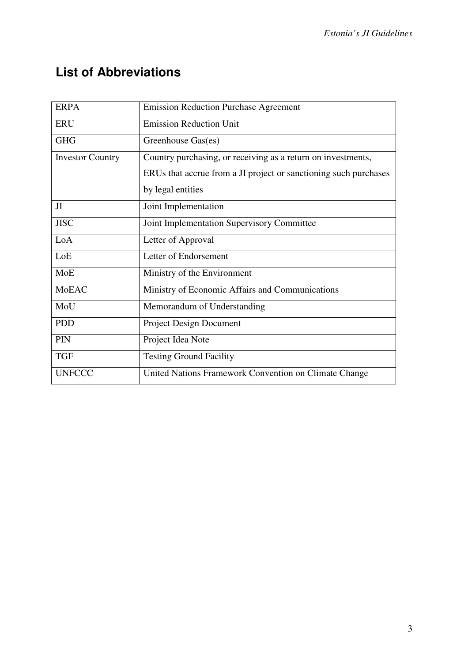# **List of Abbreviations**

| <b>ERPA</b>             | <b>Emission Reduction Purchase Agreement</b>                     |
|-------------------------|------------------------------------------------------------------|
| <b>ERU</b>              | <b>Emission Reduction Unit</b>                                   |
| <b>GHG</b>              | Greenhouse Gas(es)                                               |
| <b>Investor Country</b> | Country purchasing, or receiving as a return on investments,     |
|                         | ERUs that accrue from a JI project or sanctioning such purchases |
|                         | by legal entities                                                |
| JI                      | Joint Implementation                                             |
| <b>JISC</b>             | Joint Implementation Supervisory Committee                       |
| LoA                     | Letter of Approval                                               |
| LoE                     | Letter of Endorsement                                            |
| MoE                     | Ministry of the Environment                                      |
| <b>MoEAC</b>            | Ministry of Economic Affairs and Communications                  |
| MoU                     | Memorandum of Understanding                                      |
| <b>PDD</b>              | <b>Project Design Document</b>                                   |
| <b>PIN</b>              | Project Idea Note                                                |
| <b>TGF</b>              | <b>Testing Ground Facility</b>                                   |
| <b>UNFCCC</b>           | United Nations Framework Convention on Climate Change            |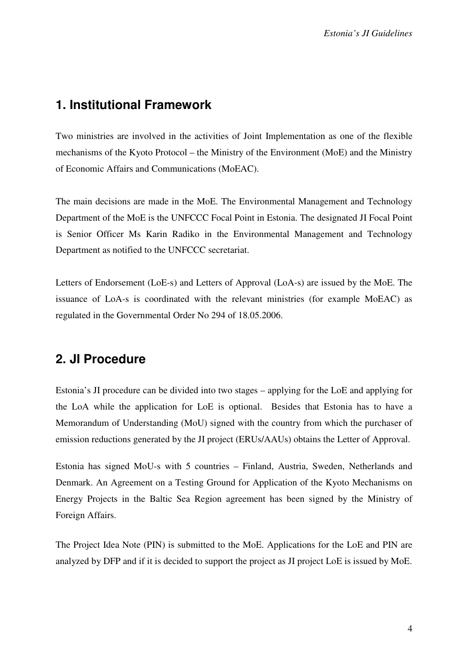#### **1. Institutional Framework**

Two ministries are involved in the activities of Joint Implementation as one of the flexible mechanisms of the Kyoto Protocol – the Ministry of the Environment (MoE) and the Ministry of Economic Affairs and Communications (MoEAC).

The main decisions are made in the MoE. The Environmental Management and Technology Department of the MoE is the UNFCCC Focal Point in Estonia. The designated JI Focal Point is Senior Officer Ms Karin Radiko in the Environmental Management and Technology Department as notified to the UNFCCC secretariat.

Letters of Endorsement (LoE-s) and Letters of Approval (LoA-s) are issued by the MoE. The issuance of LoA-s is coordinated with the relevant ministries (for example MoEAC) as regulated in the Governmental Order No 294 of 18.05.2006.

#### **2. JI Procedure**

Estonia's JI procedure can be divided into two stages – applying for the LoE and applying for the LoA while the application for LoE is optional. Besides that Estonia has to have a Memorandum of Understanding (MoU) signed with the country from which the purchaser of emission reductions generated by the JI project (ERUs/AAUs) obtains the Letter of Approval.

Estonia has signed MoU-s with 5 countries – Finland, Austria, Sweden, Netherlands and Denmark. An Agreement on a Testing Ground for Application of the Kyoto Mechanisms on Energy Projects in the Baltic Sea Region agreement has been signed by the Ministry of Foreign Affairs.

The Project Idea Note (PIN) is submitted to the MoE. Applications for the LoE and PIN are analyzed by DFP and if it is decided to support the project as JI project LoE is issued by MoE.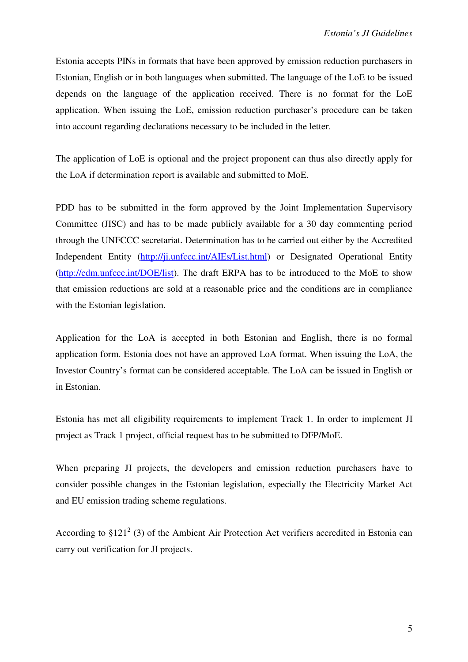Estonia accepts PINs in formats that have been approved by emission reduction purchasers in Estonian, English or in both languages when submitted. The language of the LoE to be issued depends on the language of the application received. There is no format for the LoE application. When issuing the LoE, emission reduction purchaser's procedure can be taken into account regarding declarations necessary to be included in the letter.

The application of LoE is optional and the project proponent can thus also directly apply for the LoA if determination report is available and submitted to MoE.

PDD has to be submitted in the form approved by the Joint Implementation Supervisory Committee (JISC) and has to be made publicly available for a 30 day commenting period through the UNFCCC secretariat. Determination has to be carried out either by the Accredited Independent Entity (http://ji.unfccc.int/AIEs/List.html) or Designated Operational Entity (http://cdm.unfccc.int/DOE/list). The draft ERPA has to be introduced to the MoE to show that emission reductions are sold at a reasonable price and the conditions are in compliance with the Estonian legislation.

Application for the LoA is accepted in both Estonian and English, there is no formal application form. Estonia does not have an approved LoA format. When issuing the LoA, the Investor Country's format can be considered acceptable. The LoA can be issued in English or in Estonian.

Estonia has met all eligibility requirements to implement Track 1. In order to implement JI project as Track 1 project, official request has to be submitted to DFP/MoE.

When preparing JI projects, the developers and emission reduction purchasers have to consider possible changes in the Estonian legislation, especially the Electricity Market Act and EU emission trading scheme regulations.

According to  $$121<sup>2</sup>$  (3) of the Ambient Air Protection Act verifiers accredited in Estonia can carry out verification for JI projects.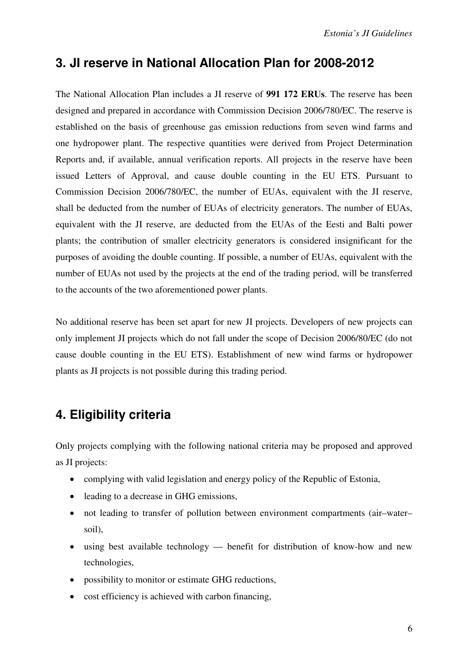### **3. JI reserve in National Allocation Plan for 2008-2012**

The National Allocation Plan includes a JI reserve of **991 172 ERUs**. The reserve has been designed and prepared in accordance with Commission Decision 2006/780/EC. The reserve is established on the basis of greenhouse gas emission reductions from seven wind farms and one hydropower plant. The respective quantities were derived from Project Determination Reports and, if available, annual verification reports. All projects in the reserve have been issued Letters of Approval, and cause double counting in the EU ETS. Pursuant to Commission Decision 2006/780/EC, the number of EUAs, equivalent with the JI reserve, shall be deducted from the number of EUAs of electricity generators. The number of EUAs, equivalent with the JI reserve, are deducted from the EUAs of the Eesti and Balti power plants; the contribution of smaller electricity generators is considered insignificant for the purposes of avoiding the double counting. If possible, a number of EUAs, equivalent with the number of EUAs not used by the projects at the end of the trading period, will be transferred to the accounts of the two aforementioned power plants.

No additional reserve has been set apart for new JI projects. Developers of new projects can only implement JI projects which do not fall under the scope of Decision 2006/80/EC (do not cause double counting in the EU ETS). Establishment of new wind farms or hydropower plants as JI projects is not possible during this trading period.

## **4. Eligibility criteria**

Only projects complying with the following national criteria may be proposed and approved as JI projects:

- complying with valid legislation and energy policy of the Republic of Estonia,
- leading to a decrease in GHG emissions,
- not leading to transfer of pollution between environment compartments (air–water– soil),
- using best available technology benefit for distribution of know-how and new technologies,
- possibility to monitor or estimate GHG reductions,
- cost efficiency is achieved with carbon financing,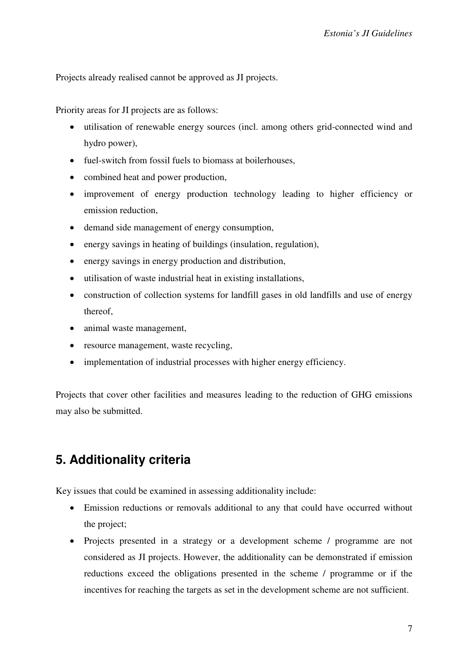Projects already realised cannot be approved as JI projects.

Priority areas for JI projects are as follows:

- utilisation of renewable energy sources (incl. among others grid-connected wind and hydro power),
- fuel-switch from fossil fuels to biomass at boilerhouses.
- combined heat and power production,
- improvement of energy production technology leading to higher efficiency or emission reduction,
- demand side management of energy consumption,
- energy savings in heating of buildings (insulation, regulation),
- energy savings in energy production and distribution,
- utilisation of waste industrial heat in existing installations,
- construction of collection systems for landfill gases in old landfills and use of energy thereof,
- animal waste management,
- resource management, waste recycling,
- implementation of industrial processes with higher energy efficiency.

Projects that cover other facilities and measures leading to the reduction of GHG emissions may also be submitted.

## **5. Additionality criteria**

Key issues that could be examined in assessing additionality include:

- Emission reductions or removals additional to any that could have occurred without the project;
- Projects presented in a strategy or a development scheme / programme are not considered as JI projects. However, the additionality can be demonstrated if emission reductions exceed the obligations presented in the scheme / programme or if the incentives for reaching the targets as set in the development scheme are not sufficient.